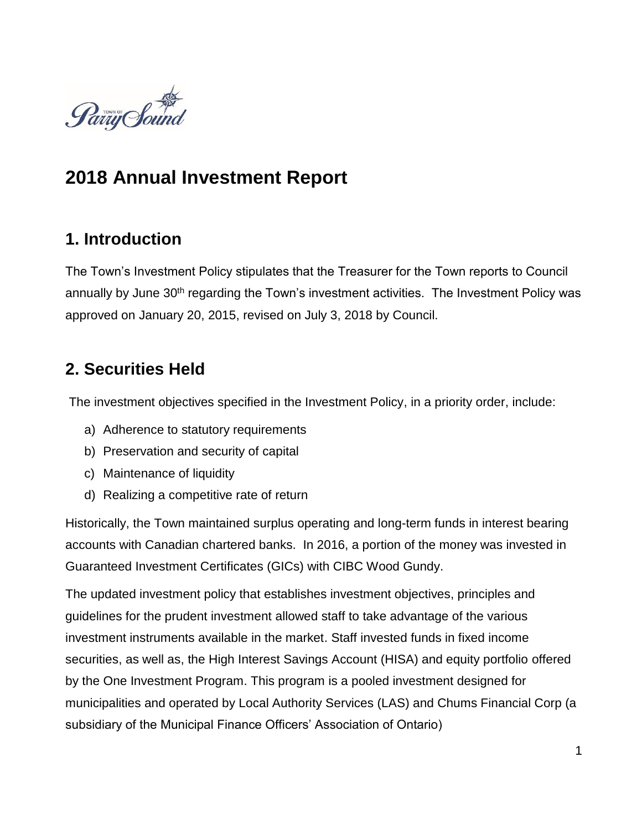

# **2018 Annual Investment Report**

### **1. Introduction**

The Town's Investment Policy stipulates that the Treasurer for the Town reports to Council annually by June 30<sup>th</sup> regarding the Town's investment activities. The Investment Policy was approved on January 20, 2015, revised on July 3, 2018 by Council.

## **2. Securities Held**

The investment objectives specified in the Investment Policy, in a priority order, include:

- a) Adherence to statutory requirements
- b) Preservation and security of capital
- c) Maintenance of liquidity
- d) Realizing a competitive rate of return

Historically, the Town maintained surplus operating and long-term funds in interest bearing accounts with Canadian chartered banks. In 2016, a portion of the money was invested in Guaranteed Investment Certificates (GICs) with CIBC Wood Gundy.

The updated investment policy that establishes investment objectives, principles and guidelines for the prudent investment allowed staff to take advantage of the various investment instruments available in the market. Staff invested funds in fixed income securities, as well as, the High Interest Savings Account (HISA) and equity portfolio offered by the One Investment Program. This program is a pooled investment designed for municipalities and operated by Local Authority Services (LAS) and Chums Financial Corp (a subsidiary of the Municipal Finance Officers' Association of Ontario)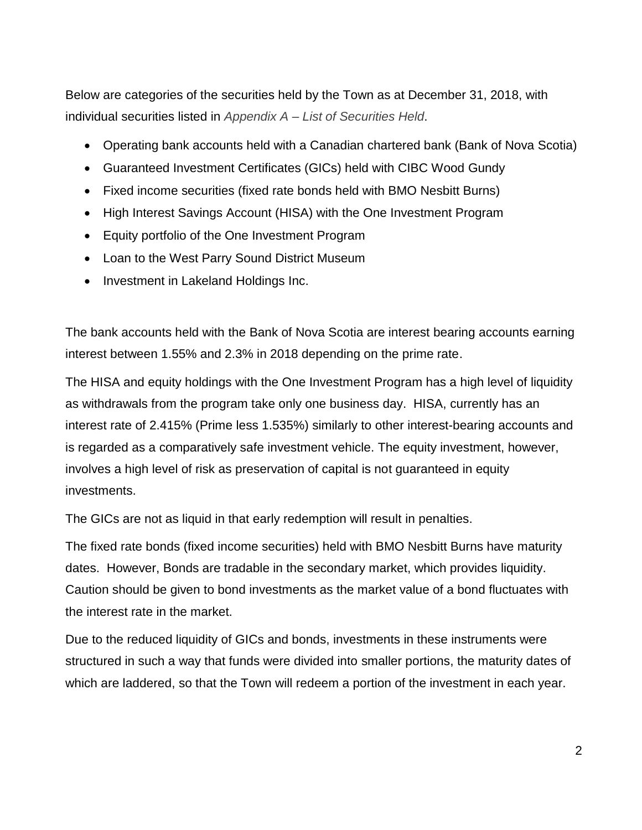Below are categories of the securities held by the Town as at December 31, 2018, with individual securities listed in *Appendix A – List of Securities Held*.

- Operating bank accounts held with a Canadian chartered bank (Bank of Nova Scotia)
- Guaranteed Investment Certificates (GICs) held with CIBC Wood Gundy
- Fixed income securities (fixed rate bonds held with BMO Nesbitt Burns)
- High Interest Savings Account (HISA) with the One Investment Program
- Equity portfolio of the One Investment Program
- Loan to the West Parry Sound District Museum
- Investment in Lakeland Holdings Inc.

The bank accounts held with the Bank of Nova Scotia are interest bearing accounts earning interest between 1.55% and 2.3% in 2018 depending on the prime rate.

The HISA and equity holdings with the One Investment Program has a high level of liquidity as withdrawals from the program take only one business day. HISA, currently has an interest rate of 2.415% (Prime less 1.535%) similarly to other interest-bearing accounts and is regarded as a comparatively safe investment vehicle. The equity investment, however, involves a high level of risk as preservation of capital is not guaranteed in equity investments.

The GICs are not as liquid in that early redemption will result in penalties.

The fixed rate bonds (fixed income securities) held with BMO Nesbitt Burns have maturity dates. However, Bonds are tradable in the secondary market, which provides liquidity. Caution should be given to bond investments as the market value of a bond fluctuates with the interest rate in the market.

Due to the reduced liquidity of GICs and bonds, investments in these instruments were structured in such a way that funds were divided into smaller portions, the maturity dates of which are laddered, so that the Town will redeem a portion of the investment in each year.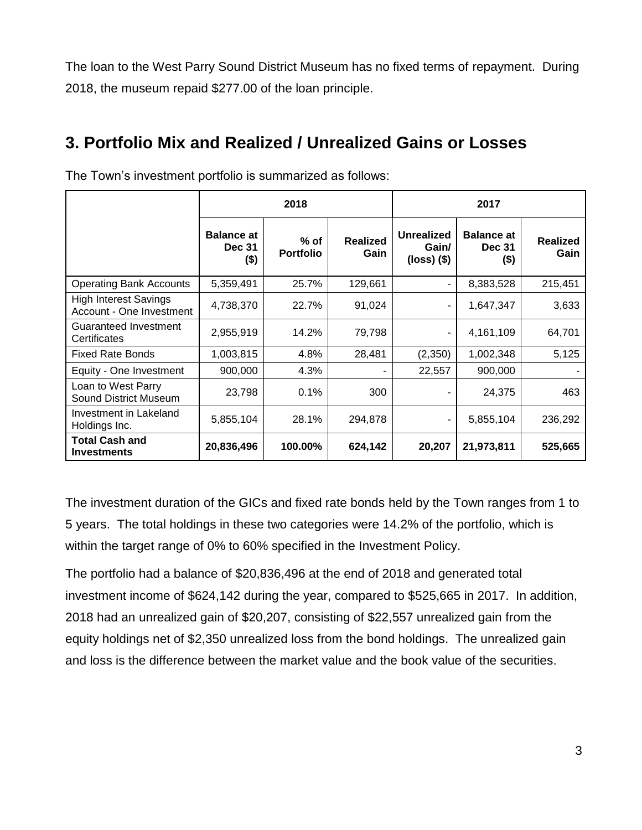The loan to the West Parry Sound District Museum has no fixed terms of repayment. During 2018, the museum repaid \$277.00 of the loan principle.

## **3. Portfolio Mix and Realized / Unrealized Gains or Losses**

|                                                          | 2018                                      |                            |                         | 2017                                          |                                               |                         |
|----------------------------------------------------------|-------------------------------------------|----------------------------|-------------------------|-----------------------------------------------|-----------------------------------------------|-------------------------|
|                                                          | <b>Balance at</b><br><b>Dec 31</b><br>\$) | $%$ of<br><b>Portfolio</b> | <b>Realized</b><br>Gain | <b>Unrealized</b><br>Gain/<br>$(loss)$ $(\$)$ | <b>Balance at</b><br><b>Dec 31</b><br>$($ \$) | <b>Realized</b><br>Gain |
| <b>Operating Bank Accounts</b>                           | 5,359,491                                 | 25.7%                      | 129,661                 |                                               | 8,383,528                                     | 215,451                 |
| <b>High Interest Savings</b><br>Account - One Investment | 4,738,370                                 | 22.7%                      | 91,024                  | ۰                                             | 1,647,347                                     | 3,633                   |
| Guaranteed Investment<br>Certificates                    | 2,955,919                                 | 14.2%                      | 79,798                  | ٠                                             | 4,161,109                                     | 64,701                  |
| <b>Fixed Rate Bonds</b>                                  | 1,003,815                                 | 4.8%                       | 28,481                  | (2,350)                                       | 1,002,348                                     | 5,125                   |
| Equity - One Investment                                  | 900,000                                   | 4.3%                       |                         | 22,557                                        | 900,000                                       |                         |
| Loan to West Parry<br><b>Sound District Museum</b>       | 23,798                                    | 0.1%                       | 300                     |                                               | 24,375                                        | 463                     |
| Investment in Lakeland<br>Holdings Inc.                  | 5,855,104                                 | 28.1%                      | 294,878                 |                                               | 5,855,104                                     | 236,292                 |
| <b>Total Cash and</b><br><b>Investments</b>              | 20,836,496                                | 100.00%                    | 624,142                 | 20,207                                        | 21,973,811                                    | 525,665                 |

The Town's investment portfolio is summarized as follows:

The investment duration of the GICs and fixed rate bonds held by the Town ranges from 1 to 5 years. The total holdings in these two categories were 14.2% of the portfolio, which is within the target range of 0% to 60% specified in the Investment Policy.

The portfolio had a balance of \$20,836,496 at the end of 2018 and generated total investment income of \$624,142 during the year, compared to \$525,665 in 2017. In addition, 2018 had an unrealized gain of \$20,207, consisting of \$22,557 unrealized gain from the equity holdings net of \$2,350 unrealized loss from the bond holdings. The unrealized gain and loss is the difference between the market value and the book value of the securities.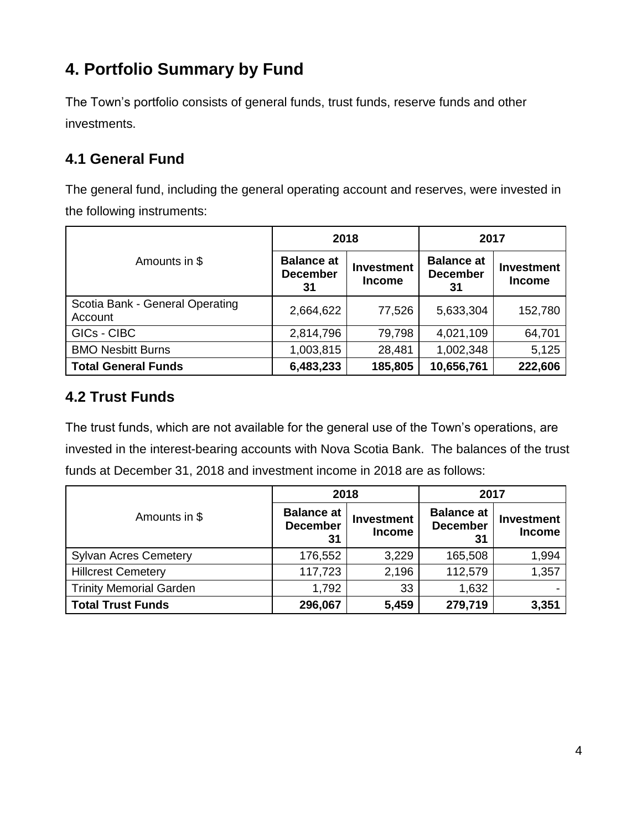# **4. Portfolio Summary by Fund**

The Town's portfolio consists of general funds, trust funds, reserve funds and other investments.

### **4.1 General Fund**

The general fund, including the general operating account and reserves, were invested in the following instruments:

|                                            | 2018                                       |                                    | 2017                                       |                                    |
|--------------------------------------------|--------------------------------------------|------------------------------------|--------------------------------------------|------------------------------------|
| Amounts in \$                              | <b>Balance at</b><br><b>December</b><br>31 | <b>Investment</b><br><b>Income</b> | <b>Balance at</b><br><b>December</b><br>31 | <b>Investment</b><br><b>Income</b> |
| Scotia Bank - General Operating<br>Account | 2,664,622                                  | 77,526                             | 5,633,304                                  | 152,780                            |
| GICs - CIBC                                | 2,814,796                                  | 79,798                             | 4,021,109                                  | 64,701                             |
| <b>BMO Nesbitt Burns</b>                   | 1,003,815                                  | 28,481                             | 1,002,348                                  | 5,125                              |
| <b>Total General Funds</b>                 | 6,483,233                                  | 185,805                            | 10,656,761                                 | 222,606                            |

#### **4.2 Trust Funds**

The trust funds, which are not available for the general use of the Town's operations, are invested in the interest-bearing accounts with Nova Scotia Bank. The balances of the trust funds at December 31, 2018 and investment income in 2018 are as follows:

|                                | 2018                                       |                                    | 2017                                       |                                    |  |
|--------------------------------|--------------------------------------------|------------------------------------|--------------------------------------------|------------------------------------|--|
| Amounts in \$                  | <b>Balance at</b><br><b>December</b><br>31 | <b>Investment</b><br><b>Income</b> | <b>Balance at</b><br><b>December</b><br>31 | <b>Investment</b><br><b>Income</b> |  |
| <b>Sylvan Acres Cemetery</b>   | 176,552                                    | 3,229                              | 165,508                                    | 1,994                              |  |
| <b>Hillcrest Cemetery</b>      | 117,723                                    | 2,196                              | 112,579                                    | 1,357                              |  |
| <b>Trinity Memorial Garden</b> | 1,792                                      | 33                                 | 1,632                                      |                                    |  |
| <b>Total Trust Funds</b>       | 296,067                                    | 5,459                              | 279,719                                    | 3,351                              |  |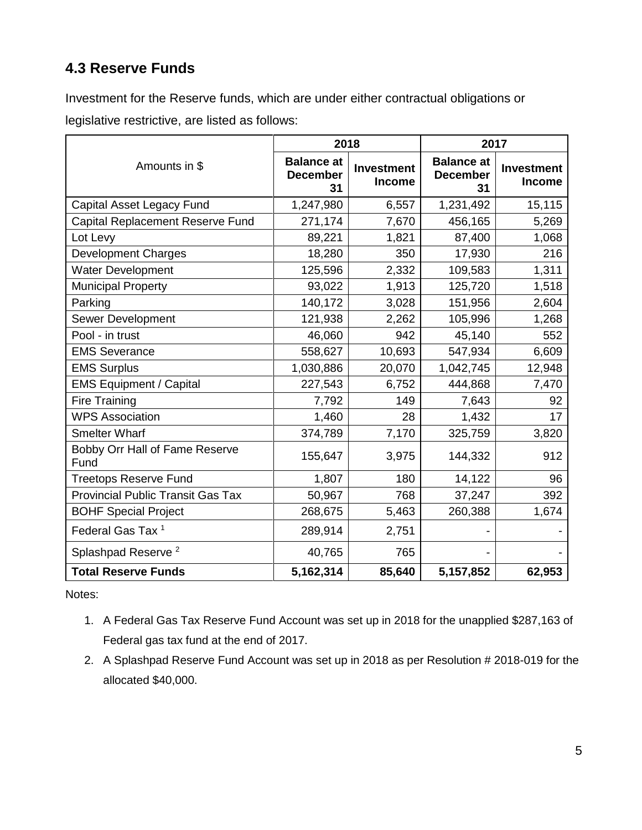### **4.3 Reserve Funds**

Investment for the Reserve funds, which are under either contractual obligations or legislative restrictive, are listed as follows:

|                                          | 2018                                       |                                    | 2017                                       |                                    |  |
|------------------------------------------|--------------------------------------------|------------------------------------|--------------------------------------------|------------------------------------|--|
| Amounts in \$                            | <b>Balance at</b><br><b>December</b><br>31 | <b>Investment</b><br><b>Income</b> | <b>Balance at</b><br><b>December</b><br>31 | <b>Investment</b><br><b>Income</b> |  |
| Capital Asset Legacy Fund                | 1,247,980                                  | 6,557                              | 1,231,492                                  | 15,115                             |  |
| Capital Replacement Reserve Fund         | 271,174                                    | 7,670                              | 456,165                                    | 5,269                              |  |
| Lot Levy                                 | 89,221                                     | 1,821                              | 87,400                                     | 1,068                              |  |
| <b>Development Charges</b>               | 18,280                                     | 350                                | 17,930                                     | 216                                |  |
| <b>Water Development</b>                 | 125,596                                    | 2,332                              | 109,583                                    | 1,311                              |  |
| Municipal Property                       | 93,022                                     | 1,913                              | 125,720                                    | 1,518                              |  |
| Parking                                  | 140,172                                    | 3,028                              | 151,956                                    | 2,604                              |  |
| Sewer Development                        | 121,938                                    | 2,262                              | 105,996                                    | 1,268                              |  |
| Pool - in trust                          | 46,060                                     | 942                                | 45,140                                     | 552                                |  |
| <b>EMS Severance</b>                     | 558,627                                    | 10,693                             | 547,934                                    | 6,609                              |  |
| <b>EMS Surplus</b>                       | 1,030,886                                  | 20,070                             | 1,042,745                                  | 12,948                             |  |
| <b>EMS Equipment / Capital</b>           | 227,543                                    | 6,752                              | 444,868                                    | 7,470                              |  |
| <b>Fire Training</b>                     | 7,792                                      | 149                                | 7,643                                      | 92                                 |  |
| <b>WPS Association</b>                   | 1,460                                      | 28                                 | 1,432                                      | 17                                 |  |
| <b>Smelter Wharf</b>                     | 374,789                                    | 7,170                              | 325,759                                    | 3,820                              |  |
| Bobby Orr Hall of Fame Reserve<br>Fund   | 155,647                                    | 3,975                              | 144,332                                    | 912                                |  |
| <b>Treetops Reserve Fund</b>             | 1,807                                      | 180                                | 14,122                                     | 96                                 |  |
| <b>Provincial Public Transit Gas Tax</b> | 50,967                                     | 768                                | 37,247                                     | 392                                |  |
| <b>BOHF Special Project</b>              | 268,675                                    | 5,463                              | 260,388                                    | 1,674                              |  |
| Federal Gas Tax <sup>1</sup>             | 289,914                                    | 2,751                              |                                            |                                    |  |
| Splashpad Reserve <sup>2</sup>           | 40,765                                     | 765                                |                                            |                                    |  |
| <b>Total Reserve Funds</b>               | 5,162,314                                  | 85,640                             | 5,157,852                                  | 62,953                             |  |

Notes:

- 1. A Federal Gas Tax Reserve Fund Account was set up in 2018 for the unapplied \$287,163 of Federal gas tax fund at the end of 2017.
- 2. A Splashpad Reserve Fund Account was set up in 2018 as per Resolution # 2018-019 for the allocated \$40,000.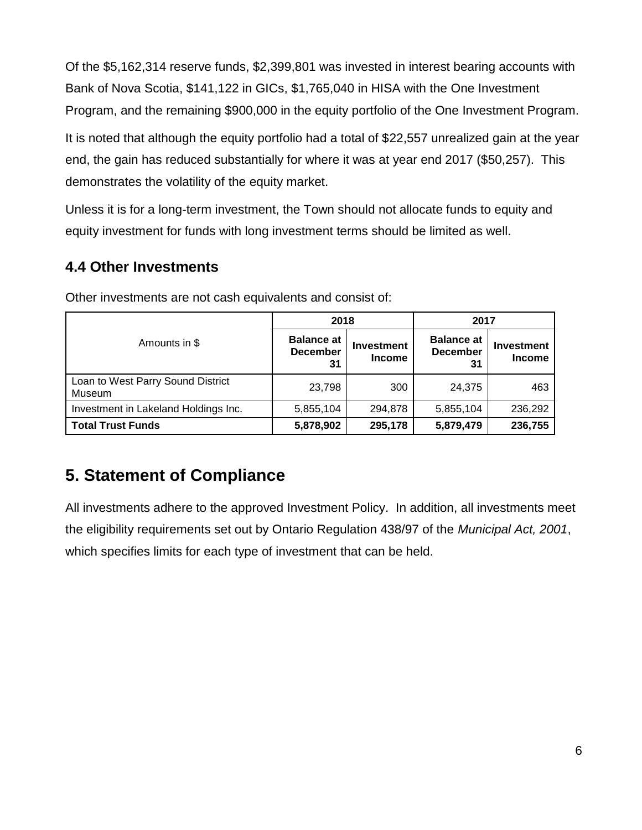Of the \$5,162,314 reserve funds, \$2,399,801 was invested in interest bearing accounts with Bank of Nova Scotia, \$141,122 in GICs, \$1,765,040 in HISA with the One Investment Program, and the remaining \$900,000 in the equity portfolio of the One Investment Program.

It is noted that although the equity portfolio had a total of \$22,557 unrealized gain at the year end, the gain has reduced substantially for where it was at year end 2017 (\$50,257). This demonstrates the volatility of the equity market.

Unless it is for a long-term investment, the Town should not allocate funds to equity and equity investment for funds with long investment terms should be limited as well.

#### **4.4 Other Investments**

|                                             | 2018                                       |                                    | 2017                                       |                             |  |
|---------------------------------------------|--------------------------------------------|------------------------------------|--------------------------------------------|-----------------------------|--|
| Amounts in \$                               | <b>Balance at</b><br><b>December</b><br>31 | <b>Investment</b><br><b>Income</b> | <b>Balance at</b><br><b>December</b><br>31 | Investment<br><b>Income</b> |  |
| Loan to West Parry Sound District<br>Museum | 23,798                                     | 300                                | 24,375                                     | 463                         |  |
| Investment in Lakeland Holdings Inc.        | 5,855,104                                  | 294,878                            | 5,855,104                                  | 236,292                     |  |
| <b>Total Trust Funds</b>                    | 5,878,902                                  | 295,178                            | 5,879,479                                  | 236,755                     |  |

Other investments are not cash equivalents and consist of:

# **5. Statement of Compliance**

All investments adhere to the approved Investment Policy. In addition, all investments meet the eligibility requirements set out by Ontario Regulation 438/97 of the *Municipal Act, 2001*, which specifies limits for each type of investment that can be held.